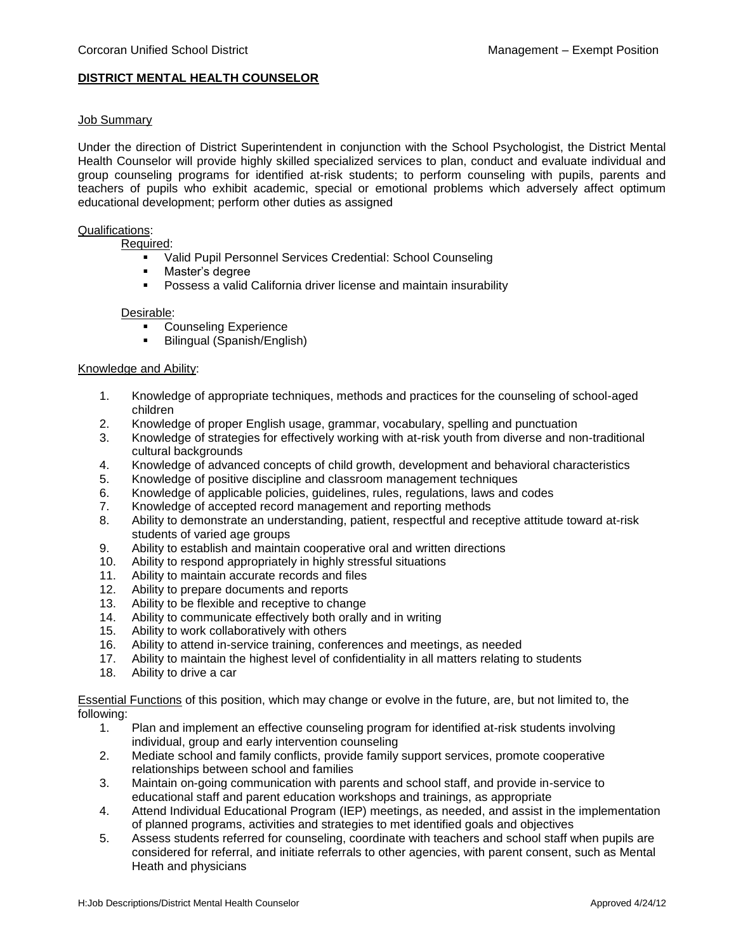# **DISTRICT MENTAL HEALTH COUNSELOR**

### Job Summary

Under the direction of District Superintendent in conjunction with the School Psychologist, the District Mental Health Counselor will provide highly skilled specialized services to plan, conduct and evaluate individual and group counseling programs for identified at-risk students; to perform counseling with pupils, parents and teachers of pupils who exhibit academic, special or emotional problems which adversely affect optimum educational development; perform other duties as assigned

### Qualifications:

Required:

- Valid Pupil Personnel Services Credential: School Counseling
- Master's degree
- Possess a valid California driver license and maintain insurability

#### Desirable:

- Counseling Experience
- Bilingual (Spanish/English)

## Knowledge and Ability:

- 1. Knowledge of appropriate techniques, methods and practices for the counseling of school-aged children
- 2. Knowledge of proper English usage, grammar, vocabulary, spelling and punctuation
- 3. Knowledge of strategies for effectively working with at-risk youth from diverse and non-traditional cultural backgrounds
- 4. Knowledge of advanced concepts of child growth, development and behavioral characteristics
- 5. Knowledge of positive discipline and classroom management techniques
- 6. Knowledge of applicable policies, guidelines, rules, regulations, laws and codes
- 7. Knowledge of accepted record management and reporting methods
- 8. Ability to demonstrate an understanding, patient, respectful and receptive attitude toward at-risk students of varied age groups
- 9. Ability to establish and maintain cooperative oral and written directions
- 10. Ability to respond appropriately in highly stressful situations
- 11. Ability to maintain accurate records and files
- 12. Ability to prepare documents and reports
- 13. Ability to be flexible and receptive to change<br>14. Ability to communicate effectively both orally
- Ability to communicate effectively both orally and in writing
- 15. Ability to work collaboratively with others
- 16. Ability to attend in-service training, conferences and meetings, as needed
- 17. Ability to maintain the highest level of confidentiality in all matters relating to students
- 18. Ability to drive a car

Essential Functions of this position, which may change or evolve in the future, are, but not limited to, the following:

- 1. Plan and implement an effective counseling program for identified at-risk students involving individual, group and early intervention counseling
- 2. Mediate school and family conflicts, provide family support services, promote cooperative relationships between school and families
- 3. Maintain on-going communication with parents and school staff, and provide in-service to educational staff and parent education workshops and trainings, as appropriate
- 4. Attend Individual Educational Program (IEP) meetings, as needed, and assist in the implementation of planned programs, activities and strategies to met identified goals and objectives
- 5. Assess students referred for counseling, coordinate with teachers and school staff when pupils are considered for referral, and initiate referrals to other agencies, with parent consent, such as Mental Heath and physicians